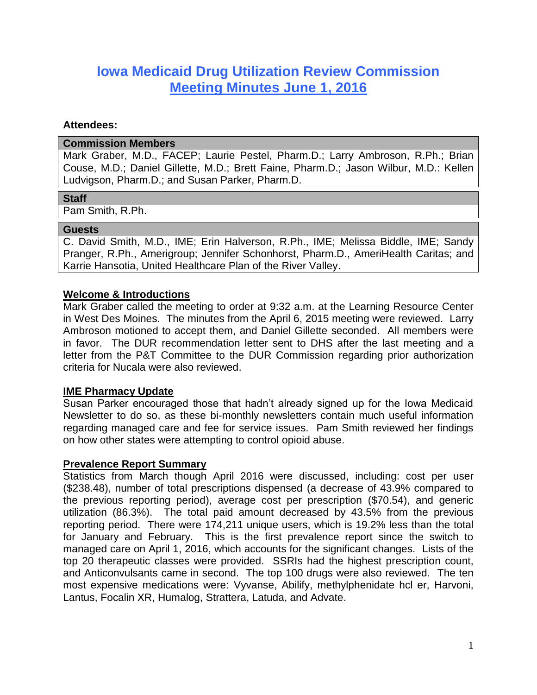# **Iowa Medicaid Drug Utilization Review Commission Meeting Minutes June 1, 2016**

#### **Attendees:**

#### **Commission Members**

Mark Graber, M.D., FACEP; Laurie Pestel, Pharm.D.; Larry Ambroson, R.Ph.; Brian Couse, M.D.; Daniel Gillette, M.D.; Brett Faine, Pharm.D.; Jason Wilbur, M.D.: Kellen Ludvigson, Pharm.D.; and Susan Parker, Pharm.D.

## **Staff**

Pam Smith, R.Ph.

#### **Guests**

C. David Smith, M.D., IME; Erin Halverson, R.Ph., IME; Melissa Biddle, IME; Sandy Pranger, R.Ph., Amerigroup; Jennifer Schonhorst, Pharm.D., AmeriHealth Caritas; and Karrie Hansotia, United Healthcare Plan of the River Valley.

## **Welcome & Introductions**

Mark Graber called the meeting to order at 9:32 a.m. at the Learning Resource Center in West Des Moines. The minutes from the April 6, 2015 meeting were reviewed. Larry Ambroson motioned to accept them, and Daniel Gillette seconded. All members were in favor. The DUR recommendation letter sent to DHS after the last meeting and a letter from the P&T Committee to the DUR Commission regarding prior authorization criteria for Nucala were also reviewed.

## **IME Pharmacy Update**

Susan Parker encouraged those that hadn't already signed up for the Iowa Medicaid Newsletter to do so, as these bi-monthly newsletters contain much useful information regarding managed care and fee for service issues. Pam Smith reviewed her findings on how other states were attempting to control opioid abuse.

## **Prevalence Report Summary**

Statistics from March though April 2016 were discussed, including: cost per user (\$238.48), number of total prescriptions dispensed (a decrease of 43.9% compared to the previous reporting period), average cost per prescription (\$70.54), and generic utilization (86.3%). The total paid amount decreased by 43.5% from the previous reporting period. There were 174,211 unique users, which is 19.2% less than the total for January and February. This is the first prevalence report since the switch to managed care on April 1, 2016, which accounts for the significant changes. Lists of the top 20 therapeutic classes were provided. SSRIs had the highest prescription count, and Anticonvulsants came in second. The top 100 drugs were also reviewed. The ten most expensive medications were: Vyvanse, Abilify, methylphenidate hcl er, Harvoni, Lantus, Focalin XR, Humalog, Strattera, Latuda, and Advate.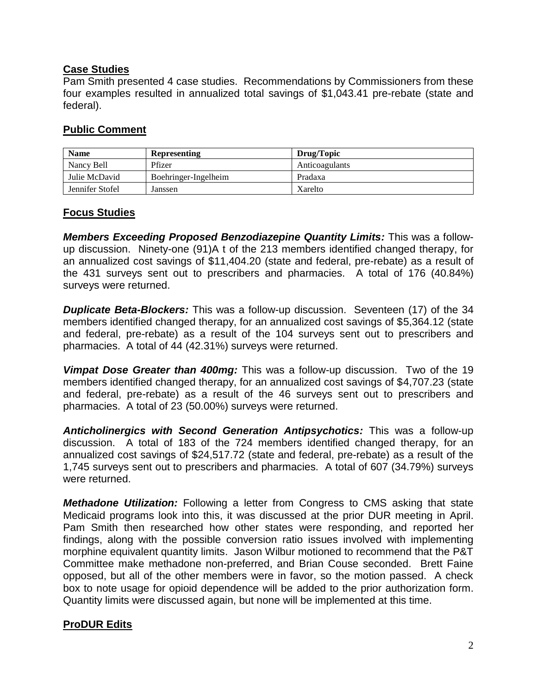# **Case Studies**

Pam Smith presented 4 case studies. Recommendations by Commissioners from these four examples resulted in annualized total savings of \$1,043.41 pre-rebate (state and federal).

# **Public Comment**

| <b>Name</b>     | <b>Representing</b>  | Drug/Topic     |
|-----------------|----------------------|----------------|
| Nancy Bell      | Pfizer               | Anticoagulants |
| Julie McDavid   | Boehringer-Ingelheim | Pradaxa        |
| Jennifer Stofel | Janssen              | Xarelto        |

# **Focus Studies**

*Members Exceeding Proposed Benzodiazepine Quantity Limits:* This was a followup discussion. Ninety-one (91)A t of the 213 members identified changed therapy, for an annualized cost savings of \$11,404.20 (state and federal, pre-rebate) as a result of the 431 surveys sent out to prescribers and pharmacies. A total of 176 (40.84%) surveys were returned.

*Duplicate Beta-Blockers:* This was a follow-up discussion. Seventeen (17) of the 34 members identified changed therapy, for an annualized cost savings of \$5,364.12 (state and federal, pre-rebate) as a result of the 104 surveys sent out to prescribers and pharmacies. A total of 44 (42.31%) surveys were returned.

*Vimpat Dose Greater than 400mg:* This was a follow-up discussion. Two of the 19 members identified changed therapy, for an annualized cost savings of \$4,707.23 (state and federal, pre-rebate) as a result of the 46 surveys sent out to prescribers and pharmacies. A total of 23 (50.00%) surveys were returned.

*Anticholinergics with Second Generation Antipsychotics:* This was a follow-up discussion. A total of 183 of the 724 members identified changed therapy, for an annualized cost savings of \$24,517.72 (state and federal, pre-rebate) as a result of the 1,745 surveys sent out to prescribers and pharmacies. A total of 607 (34.79%) surveys were returned.

*Methadone Utilization:* Following a letter from Congress to CMS asking that state Medicaid programs look into this, it was discussed at the prior DUR meeting in April. Pam Smith then researched how other states were responding, and reported her findings, along with the possible conversion ratio issues involved with implementing morphine equivalent quantity limits. Jason Wilbur motioned to recommend that the P&T Committee make methadone non-preferred, and Brian Couse seconded. Brett Faine opposed, but all of the other members were in favor, so the motion passed. A check box to note usage for opioid dependence will be added to the prior authorization form. Quantity limits were discussed again, but none will be implemented at this time.

# **ProDUR Edits**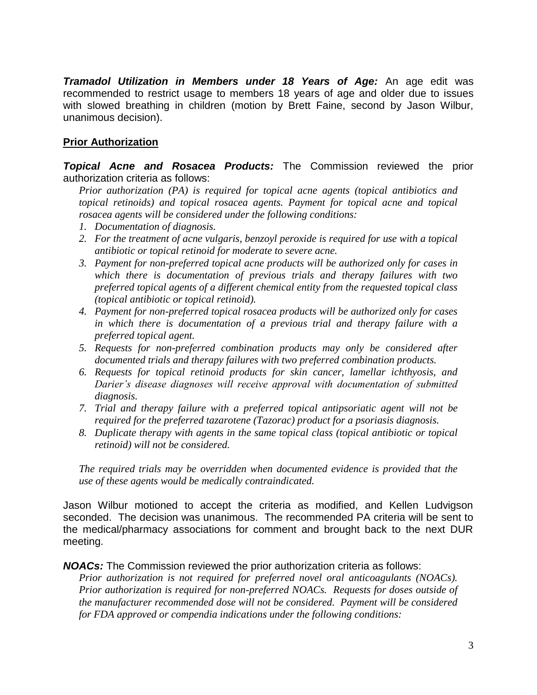*Tramadol Utilization in Members under 18 Years of Age:* An age edit was recommended to restrict usage to members 18 years of age and older due to issues with slowed breathing in children (motion by Brett Faine, second by Jason Wilbur, unanimous decision).

# **Prior Authorization**

*Topical Acne and Rosacea Products:* The Commission reviewed the prior authorization criteria as follows:

*Prior authorization (PA) is required for topical acne agents (topical antibiotics and topical retinoids) and topical rosacea agents. Payment for topical acne and topical rosacea agents will be considered under the following conditions:* 

- *1. Documentation of diagnosis.*
- *2. For the treatment of acne vulgaris, benzoyl peroxide is required for use with a topical antibiotic or topical retinoid for moderate to severe acne.*
- *3. Payment for non-preferred topical acne products will be authorized only for cases in which there is documentation of previous trials and therapy failures with two preferred topical agents of a different chemical entity from the requested topical class (topical antibiotic or topical retinoid).*
- *4. Payment for non-preferred topical rosacea products will be authorized only for cases in which there is documentation of a previous trial and therapy failure with a preferred topical agent.*
- *5. Requests for non-preferred combination products may only be considered after documented trials and therapy failures with two preferred combination products.*
- *6. Requests for topical retinoid products for skin cancer, lamellar ichthyosis, and Darier's disease diagnoses will receive approval with documentation of submitted diagnosis.*
- *7. Trial and therapy failure with a preferred topical antipsoriatic agent will not be required for the preferred tazarotene (Tazorac) product for a psoriasis diagnosis.*
- *8. Duplicate therapy with agents in the same topical class (topical antibiotic or topical retinoid) will not be considered.*

*The required trials may be overridden when documented evidence is provided that the use of these agents would be medically contraindicated.*

Jason Wilbur motioned to accept the criteria as modified, and Kellen Ludvigson seconded. The decision was unanimous. The recommended PA criteria will be sent to the medical/pharmacy associations for comment and brought back to the next DUR meeting.

*NOACs:* The Commission reviewed the prior authorization criteria as follows:

*Prior authorization is not required for preferred novel oral anticoagulants (NOACs). Prior authorization is required for non-preferred NOACs. Requests for doses outside of the manufacturer recommended dose will not be considered. Payment will be considered for FDA approved or compendia indications under the following conditions:*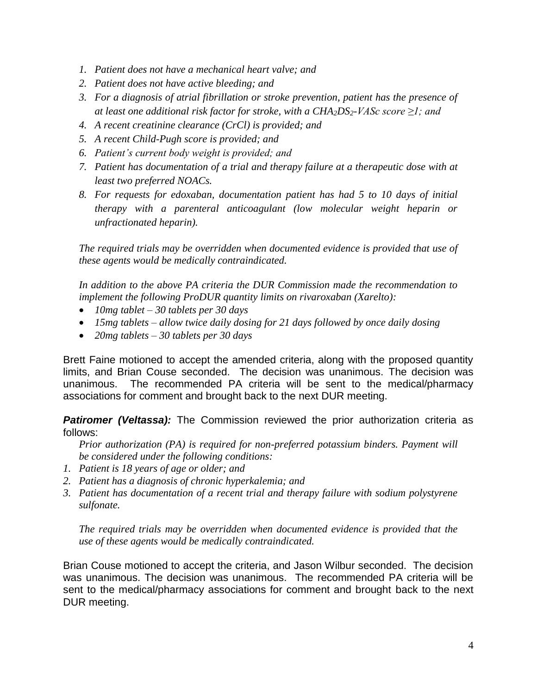- *1. Patient does not have a mechanical heart valve; and*
- *2. Patient does not have active bleeding; and*
- *3. For a diagnosis of atrial fibrillation or stroke prevention, patient has the presence of at least one additional risk factor for stroke, with a CHA2DS2-VASc score ≥1; and*
- *4. A recent creatinine clearance (CrCl) is provided; and*
- *5. A recent Child-Pugh score is provided; and*
- *6. Patient's current body weight is provided; and*
- *7. Patient has documentation of a trial and therapy failure at a therapeutic dose with at least two preferred NOACs.*
- *8. For requests for edoxaban, documentation patient has had 5 to 10 days of initial therapy with a parenteral anticoagulant (low molecular weight heparin or unfractionated heparin).*

*The required trials may be overridden when documented evidence is provided that use of these agents would be medically contraindicated.*

*In addition to the above PA criteria the DUR Commission made the recommendation to implement the following ProDUR quantity limits on rivaroxaban (Xarelto):*

- *10mg tablet – 30 tablets per 30 days*
- *15mg tablets – allow twice daily dosing for 21 days followed by once daily dosing*
- *20mg tablets – 30 tablets per 30 days*

Brett Faine motioned to accept the amended criteria, along with the proposed quantity limits, and Brian Couse seconded. The decision was unanimous. The decision was unanimous. The recommended PA criteria will be sent to the medical/pharmacy associations for comment and brought back to the next DUR meeting.

**Patiromer (Veltassa):** The Commission reviewed the prior authorization criteria as follows:

*Prior authorization (PA) is required for non-preferred potassium binders. Payment will be considered under the following conditions:* 

- *1. Patient is 18 years of age or older; and*
- *2. Patient has a diagnosis of chronic hyperkalemia; and*
- *3. Patient has documentation of a recent trial and therapy failure with sodium polystyrene sulfonate.*

*The required trials may be overridden when documented evidence is provided that the use of these agents would be medically contraindicated.*

Brian Couse motioned to accept the criteria, and Jason Wilbur seconded. The decision was unanimous. The decision was unanimous. The recommended PA criteria will be sent to the medical/pharmacy associations for comment and brought back to the next DUR meeting.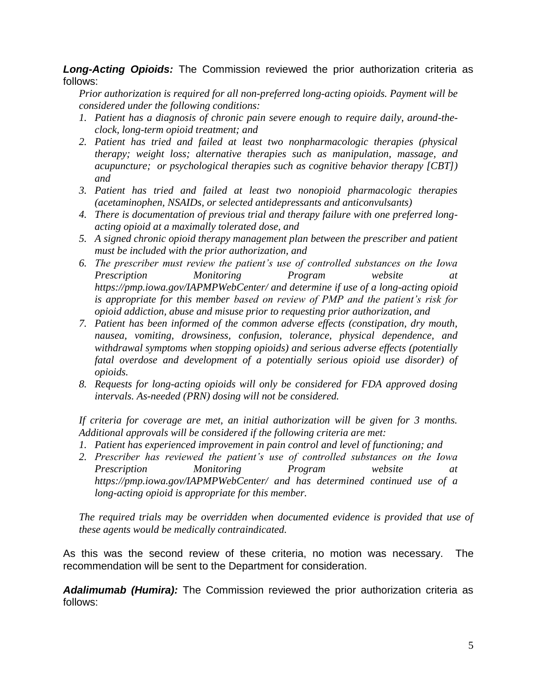## *Long-Acting Opioids:* The Commission reviewed the prior authorization criteria as follows:

*Prior authorization is required for all non-preferred long-acting opioids. Payment will be considered under the following conditions:* 

- *1. Patient has a diagnosis of chronic pain severe enough to require daily, around-theclock, long-term opioid treatment; and*
- *2. Patient has tried and failed at least two nonpharmacologic therapies (physical therapy; weight loss; alternative therapies such as manipulation, massage, and acupuncture; or psychological therapies such as cognitive behavior therapy [CBT]) and*
- *3. Patient has tried and failed at least two nonopioid pharmacologic therapies (acetaminophen, NSAIDs, or selected antidepressants and anticonvulsants)*
- *4. There is documentation of previous trial and therapy failure with one preferred longacting opioid at a maximally tolerated dose, and*
- *5. A signed chronic opioid therapy management plan between the prescriber and patient must be included with the prior authorization, and*
- *6. The prescriber must review the patient's use of controlled substances on the Iowa Prescription Monitoring Program website at https://pmp.iowa.gov/IAPMPWebCenter/ and determine if use of a long-acting opioid is appropriate for this member based on review of PMP and the patient's risk for opioid addiction, abuse and misuse prior to requesting prior authorization, and*
- *7. Patient has been informed of the common adverse effects (constipation, dry mouth, nausea, vomiting, drowsiness, confusion, tolerance, physical dependence, and withdrawal symptoms when stopping opioids) and serious adverse effects (potentially fatal overdose and development of a potentially serious opioid use disorder) of opioids.*
- *8. Requests for long-acting opioids will only be considered for FDA approved dosing intervals. As-needed (PRN) dosing will not be considered.*

*If criteria for coverage are met, an initial authorization will be given for 3 months. Additional approvals will be considered if the following criteria are met:*

- *1. Patient has experienced improvement in pain control and level of functioning; and*
- *2. Prescriber has reviewed the patient's use of controlled substances on the Iowa Prescription Monitoring Program website at https://pmp.iowa.gov/IAPMPWebCenter/ and has determined continued use of a long-acting opioid is appropriate for this member.*

*The required trials may be overridden when documented evidence is provided that use of these agents would be medically contraindicated.* 

As this was the second review of these criteria, no motion was necessary. The recommendation will be sent to the Department for consideration.

*Adalimumab (Humira):* The Commission reviewed the prior authorization criteria as follows: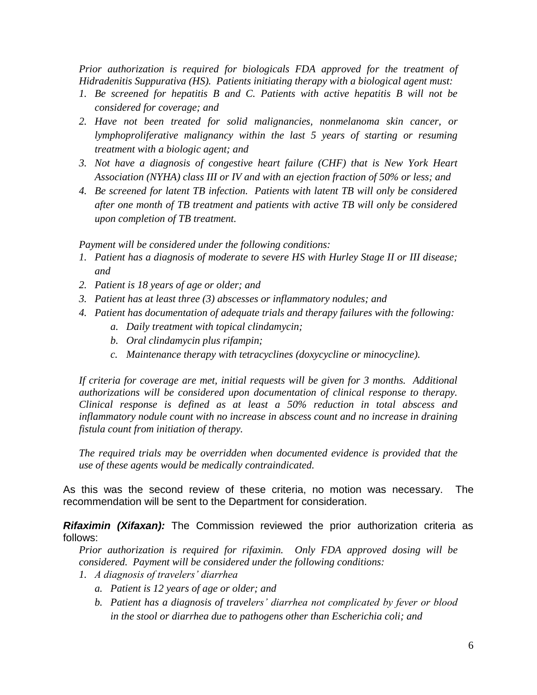*Prior authorization is required for biologicals FDA approved for the treatment of Hidradenitis Suppurativa (HS). Patients initiating therapy with a biological agent must:*

- *1. Be screened for hepatitis B and C. Patients with active hepatitis B will not be considered for coverage; and*
- *2. Have not been treated for solid malignancies, nonmelanoma skin cancer, or lymphoproliferative malignancy within the last 5 years of starting or resuming treatment with a biologic agent; and*
- *3. Not have a diagnosis of congestive heart failure (CHF) that is New York Heart Association (NYHA) class III or IV and with an ejection fraction of 50% or less; and*
- *4. Be screened for latent TB infection. Patients with latent TB will only be considered after one month of TB treatment and patients with active TB will only be considered upon completion of TB treatment.*

*Payment will be considered under the following conditions:*

- *1. Patient has a diagnosis of moderate to severe HS with Hurley Stage II or III disease; and*
- *2. Patient is 18 years of age or older; and*
- *3. Patient has at least three (3) abscesses or inflammatory nodules; and*
- *4. Patient has documentation of adequate trials and therapy failures with the following:*
	- *a. Daily treatment with topical clindamycin;*
	- *b. Oral clindamycin plus rifampin;*
	- *c. Maintenance therapy with tetracyclines (doxycycline or minocycline).*

*If criteria for coverage are met, initial requests will be given for 3 months. Additional authorizations will be considered upon documentation of clinical response to therapy. Clinical response is defined as at least a 50% reduction in total abscess and inflammatory nodule count with no increase in abscess count and no increase in draining fistula count from initiation of therapy.*

*The required trials may be overridden when documented evidence is provided that the use of these agents would be medically contraindicated.*

As this was the second review of these criteria, no motion was necessary. The recommendation will be sent to the Department for consideration.

*Rifaximin (Xifaxan):* The Commission reviewed the prior authorization criteria as follows:

*Prior authorization is required for rifaximin. Only FDA approved dosing will be considered. Payment will be considered under the following conditions:*

- *1. A diagnosis of travelers' diarrhea*
	- *a. Patient is 12 years of age or older; and*
	- *b. Patient has a diagnosis of travelers' diarrhea not complicated by fever or blood in the stool or diarrhea due to pathogens other than Escherichia coli; and*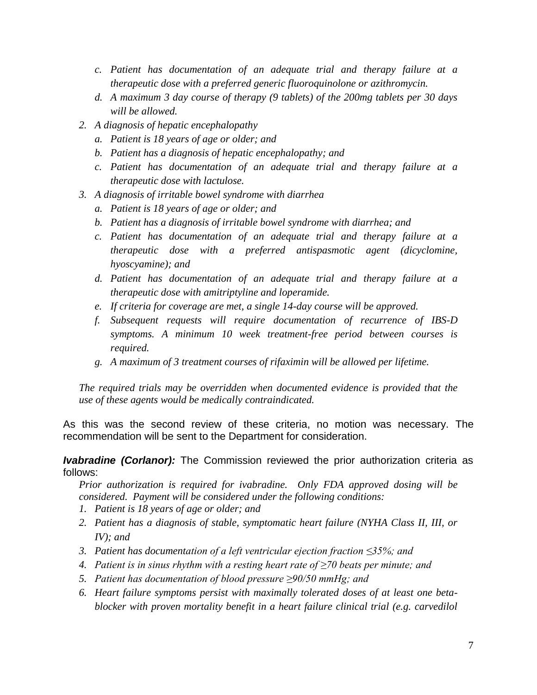- *c. Patient has documentation of an adequate trial and therapy failure at a therapeutic dose with a preferred generic fluoroquinolone or azithromycin.*
- *d. A maximum 3 day course of therapy (9 tablets) of the 200mg tablets per 30 days will be allowed.*
- *2. A diagnosis of hepatic encephalopathy*
	- *a. Patient is 18 years of age or older; and*
	- *b. Patient has a diagnosis of hepatic encephalopathy; and*
	- *c. Patient has documentation of an adequate trial and therapy failure at a therapeutic dose with lactulose.*
- *3. A diagnosis of irritable bowel syndrome with diarrhea*
	- *a. Patient is 18 years of age or older; and*
	- *b. Patient has a diagnosis of irritable bowel syndrome with diarrhea; and*
	- *c. Patient has documentation of an adequate trial and therapy failure at a therapeutic dose with a preferred antispasmotic agent (dicyclomine, hyoscyamine); and*
	- *d. Patient has documentation of an adequate trial and therapy failure at a therapeutic dose with amitriptyline and loperamide.*
	- *e. If criteria for coverage are met, a single 14-day course will be approved.*
	- *f. Subsequent requests will require documentation of recurrence of IBS-D symptoms. A minimum 10 week treatment-free period between courses is required.*
	- *g. A maximum of 3 treatment courses of rifaximin will be allowed per lifetime.*

*The required trials may be overridden when documented evidence is provided that the use of these agents would be medically contraindicated.* 

As this was the second review of these criteria, no motion was necessary. The recommendation will be sent to the Department for consideration.

#### *Ivabradine (Corlanor):* The Commission reviewed the prior authorization criteria as follows:

*Prior authorization is required for ivabradine. Only FDA approved dosing will be considered. Payment will be considered under the following conditions:*

- *1. Patient is 18 years of age or older; and*
- *2. Patient has a diagnosis of stable, symptomatic heart failure (NYHA Class II, III, or IV); and*
- *3. Patient has documentation of a left ventricular ejection fraction ≤35%; and*
- *4. Patient is in sinus rhythm with a resting heart rate of ≥70 beats per minute; and*
- *5. Patient has documentation of blood pressure ≥90/50 mmHg; and*
- *6. Heart failure symptoms persist with maximally tolerated doses of at least one betablocker with proven mortality benefit in a heart failure clinical trial (e.g. carvedilol*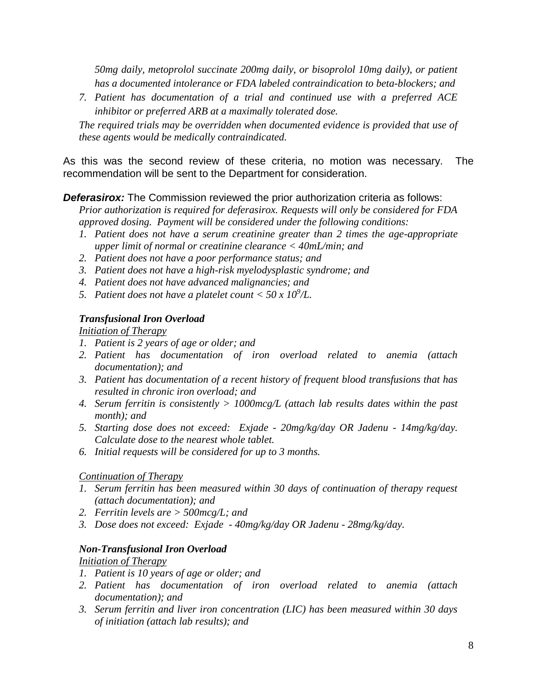*50mg daily, metoprolol succinate 200mg daily, or bisoprolol 10mg daily), or patient has a documented intolerance or FDA labeled contraindication to beta-blockers; and* 

*7. Patient has documentation of a trial and continued use with a preferred ACE inhibitor or preferred ARB at a maximally tolerated dose.*

*The required trials may be overridden when documented evidence is provided that use of these agents would be medically contraindicated.* 

As this was the second review of these criteria, no motion was necessary. The recommendation will be sent to the Department for consideration.

## **Deferasirox:** The Commission reviewed the prior authorization criteria as follows:

*Prior authorization is required for deferasirox. Requests will only be considered for FDA approved dosing. Payment will be considered under the following conditions:* 

- *1. Patient does not have a serum creatinine greater than 2 times the age-appropriate upper limit of normal or creatinine clearance < 40mL/min; and*
- *2. Patient does not have a poor performance status; and*
- *3. Patient does not have a high-risk myelodysplastic syndrome; and*
- *4. Patient does not have advanced malignancies; and*
- 5. Patient does not have a platelet count  $<$  50 x 10<sup>9</sup>/L.

## *Transfusional Iron Overload*

*Initiation of Therapy* 

- *1. Patient is 2 years of age or older; and*
- *2. Patient has documentation of iron overload related to anemia (attach documentation); and*
- *3. Patient has documentation of a recent history of frequent blood transfusions that has resulted in chronic iron overload; and*
- *4. Serum ferritin is consistently > 1000mcg/L (attach lab results dates within the past month); and*
- *5. Starting dose does not exceed: Exjade - 20mg/kg/day OR Jadenu - 14mg/kg/day. Calculate dose to the nearest whole tablet.*
- *6. Initial requests will be considered for up to 3 months.*

## *Continuation of Therapy*

- *1. Serum ferritin has been measured within 30 days of continuation of therapy request (attach documentation); and*
- *2. Ferritin levels are > 500mcg/L; and*
- *3. Dose does not exceed: Exjade - 40mg/kg/day OR Jadenu - 28mg/kg/day.*

## *Non-Transfusional Iron Overload*

*Initiation of Therapy* 

- *1. Patient is 10 years of age or older; and*
- *2. Patient has documentation of iron overload related to anemia (attach documentation); and*
- *3. Serum ferritin and liver iron concentration (LIC) has been measured within 30 days of initiation (attach lab results); and*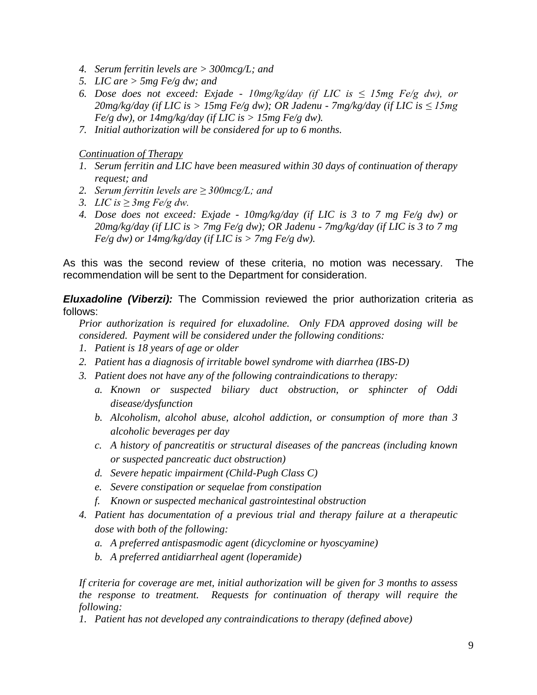- *4. Serum ferritin levels are > 300mcg/L; and*
- *5. LIC are > 5mg Fe/g dw; and*
- *6. Dose does not exceed: Exjade - 10mg/kg/day (if LIC is ≤ 15mg Fe/g dw), or 20mg/kg/day (if LIC is > 15mg Fe/g dw); OR Jadenu - 7mg/kg/day (if LIC is ≤ 15mg*   $Fe/g$  dw), or  $14mg/kg/day$  (if LIC is  $> 15mg$  Fe/g dw).
- *7. Initial authorization will be considered for up to 6 months.*

*Continuation of Therapy* 

- *1. Serum ferritin and LIC have been measured within 30 days of continuation of therapy request; and*
- *2. Serum ferritin levels are ≥ 300mcg/L; and*
- *3. LIC is ≥ 3mg Fe/g dw.*
- *4. Dose does not exceed: Exjade - 10mg/kg/day (if LIC is 3 to 7 mg Fe/g dw) or 20mg/kg/day (if LIC is > 7mg Fe/g dw); OR Jadenu - 7mg/kg/day (if LIC is 3 to 7 mg Fe/g dw) or 14mg/kg/day (if LIC is > 7mg Fe/g dw).*

As this was the second review of these criteria, no motion was necessary. The recommendation will be sent to the Department for consideration.

*Eluxadoline (Viberzi):* The Commission reviewed the prior authorization criteria as follows:

*Prior authorization is required for eluxadoline. Only FDA approved dosing will be considered. Payment will be considered under the following conditions:*

- *1. Patient is 18 years of age or older*
- *2. Patient has a diagnosis of irritable bowel syndrome with diarrhea (IBS-D)*
- *3. Patient does not have any of the following contraindications to therapy:*
	- *a. Known or suspected biliary duct obstruction, or sphincter of Oddi disease/dysfunction*
	- *b. Alcoholism, alcohol abuse, alcohol addiction, or consumption of more than 3 alcoholic beverages per day*
	- *c. A history of pancreatitis or structural diseases of the pancreas (including known or suspected pancreatic duct obstruction)*
	- *d. Severe hepatic impairment (Child-Pugh Class C)*
	- *e. Severe constipation or sequelae from constipation*
	- *f. Known or suspected mechanical gastrointestinal obstruction*
- *4. Patient has documentation of a previous trial and therapy failure at a therapeutic dose with both of the following:*
	- *a. A preferred antispasmodic agent (dicyclomine or hyoscyamine)*
	- *b. A preferred antidiarrheal agent (loperamide)*

*If criteria for coverage are met, initial authorization will be given for 3 months to assess the response to treatment. Requests for continuation of therapy will require the following:*

*1. Patient has not developed any contraindications to therapy (defined above)*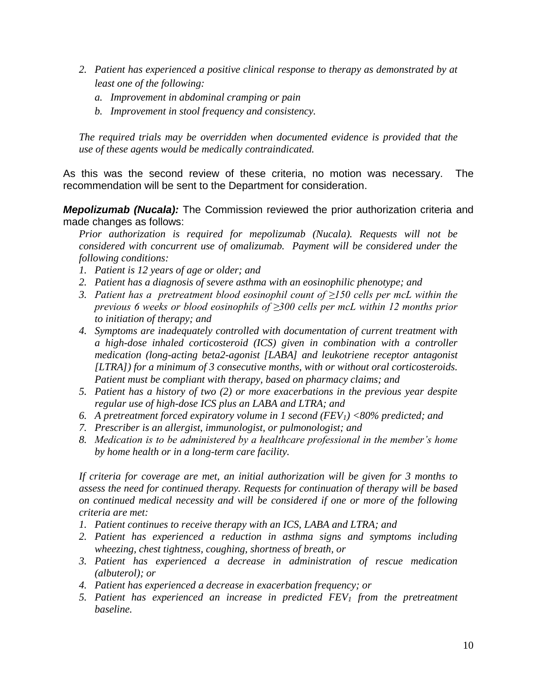- *2. Patient has experienced a positive clinical response to therapy as demonstrated by at least one of the following:*
	- *a. Improvement in abdominal cramping or pain*
	- *b. Improvement in stool frequency and consistency.*

*The required trials may be overridden when documented evidence is provided that the use of these agents would be medically contraindicated.*

As this was the second review of these criteria, no motion was necessary. The recommendation will be sent to the Department for consideration.

*Mepolizumab (Nucala):* The Commission reviewed the prior authorization criteria and made changes as follows:

*Prior authorization is required for mepolizumab (Nucala). Requests will not be considered with concurrent use of omalizumab. Payment will be considered under the following conditions:* 

- *1. Patient is 12 years of age or older; and*
- *2. Patient has a diagnosis of severe asthma with an eosinophilic phenotype; and*
- *3. Patient has a pretreatment blood eosinophil count of ≥150 cells per mcL within the previous 6 weeks or blood eosinophils of ≥300 cells per mcL within 12 months prior to initiation of therapy; and*
- *4. Symptoms are inadequately controlled with documentation of current treatment with a high-dose inhaled corticosteroid (ICS) given in combination with a controller medication (long-acting beta2-agonist [LABA] and leukotriene receptor antagonist [LTRA]) for a minimum of 3 consecutive months, with or without oral corticosteroids. Patient must be compliant with therapy, based on pharmacy claims; and*
- *5. Patient has a history of two (2) or more exacerbations in the previous year despite regular use of high-dose ICS plus an LABA and LTRA; and*
- *6. A pretreatment forced expiratory volume in 1 second (FEV1) <80% predicted; and*
- *7. Prescriber is an allergist, immunologist, or pulmonologist; and*
- *8. Medication is to be administered by a healthcare professional in the member's home by home health or in a long-term care facility.*

*If criteria for coverage are met, an initial authorization will be given for 3 months to assess the need for continued therapy. Requests for continuation of therapy will be based on continued medical necessity and will be considered if one or more of the following criteria are met:*

- *1. Patient continues to receive therapy with an ICS, LABA and LTRA; and*
- *2. Patient has experienced a reduction in asthma signs and symptoms including wheezing, chest tightness, coughing, shortness of breath, or*
- *3. Patient has experienced a decrease in administration of rescue medication (albuterol); or*
- *4. Patient has experienced a decrease in exacerbation frequency; or*
- *5. Patient has experienced an increase in predicted FEV<sup>1</sup> from the pretreatment baseline.*